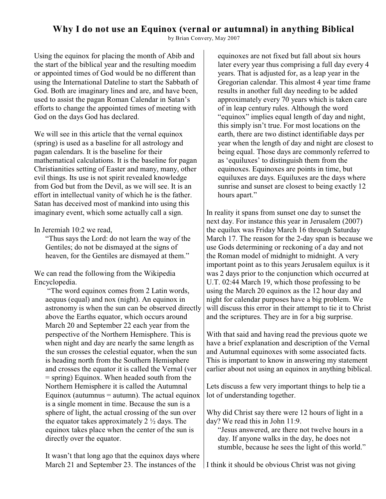# **Why I do not use an Equinox (vernal or autumnal) in anything Biblical**

by Brian Convery, May 2007

Using the equinox for placing the month of Abib and the start of the biblical year and the resulting moedim or appointed times of God would be no different than using the International Dateline to start the Sabbath of God. Both are imaginary lines and are, and have been, used to assist the pagan Roman Calendar in Satan's efforts to change the appointed times of meeting with God on the days God has declared.

We will see in this article that the vernal equinox (spring) is used as a baseline for all astrology and pagan calendars. It is the baseline for their mathematical calculations. It is the baseline for pagan Christianities setting of Easter and many, many, other evil things. Its use is not spirit revealed knowledge from God but from the Devil, as we will see. It is an effort in intellectual vanity of which he is the father. Satan has deceived most of mankind into using this imaginary event, which some actually call a sign.

## In Jeremiah 10:2 we read,

"Thus says the Lord: do not learn the way of the Gentiles; do not be dismayed at the signs of heaven, for the Gentiles are dismayed at them."

We can read the following from the Wikipedia Encyclopedia.

 "The word equinox comes from 2 Latin words, aequus (equal) and nox (night). An equinox in astronomy is when the sun can be observed directly above the Earths equator, which occurs around March 20 and September 22 each year from the perspective of the Northern Hemisphere. This is when night and day are nearly the same length as the sun crosses the celestial equator, when the sun is heading north from the Southern Hemisphere and crosses the equator it is called the Vernal (ver = spring) Equinox. When headed south from the Northern Hemisphere it is called the Autumnal Equinox (autumnus  $=$  autumn). The actual equinox is a single moment in time. Because the sun is a sphere of light, the actual crossing of the sun over the equator takes approximately 2  $\frac{1}{2}$  days. The equinox takes place when the center of the sun is directly over the equator.

It wasn't that long ago that the equinox days where March 21 and September 23. The instances of the

equinoxes are not fixed but fall about six hours later every year thus comprising a full day every 4 years. That is adjusted for, as a leap year in the Gregorian calendar. This almost 4 year time frame results in another full day needing to be added approximately every 70 years which is taken care of in leap century rules. Although the word "equinox" implies equal length of day and night, this simply isn't true. For most locations on the earth, there are two distinct identifiable days per year when the length of day and night are closest to being equal. Those days are commonly referred to as 'equiluxes' to distinguish them from the equinoxes. Equinoxes are points in time, but equiluxes are days. Equiluxes are the days where sunrise and sunset are closest to being exactly 12 hours apart."

In reality it spans from sunset one day to sunset the next day. For instance this year in Jerusalem (2007) the equilux was Friday March 16 through Saturday March 17. The reason for the 2-day span is because we use Gods determining or reckoning of a day and not the Roman model of midnight to midnight. A very important point as to this years Jerusalem equilux is it was 2 days prior to the conjunction which occurred at U.T. 02:44 March 19, which those professing to be using the March 20 equinox as the 12 hour day and night for calendar purposes have a big problem. We will discuss this error in their attempt to tie it to Christ and the scriptures. They are in for a big surprise.

With that said and having read the previous quote we have a brief explanation and description of the Vernal and Autumnal equinoxes with some associated facts. This is important to know in answering my statement earlier about not using an equinox in anything biblical.

Lets discuss a few very important things to help tie a lot of understanding together.

Why did Christ say there were 12 hours of light in a day? We read this in John 11:9.

"Jesus answered, are there not twelve hours in a day. If anyone walks in the day, he does not stumble, because he sees the light of this world."

I think it should be obvious Christ was not giving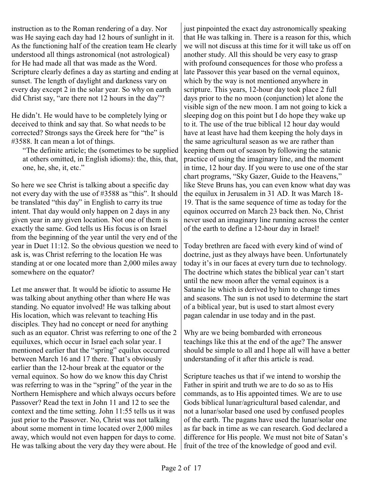instruction as to the Roman rendering of a day. Nor was He saying each day had 12 hours of sunlight in it. As the functioning half of the creation team He clearly understood all things astronomical (not astrological) for He had made all that was made as the Word. Scripture clearly defines a day as starting and ending at sunset. The length of daylight and darkness vary on every day except 2 in the solar year. So why on earth did Christ say, "are there not 12 hours in the day"?

He didn't. He would have to be completely lying or deceived to think and say that. So what needs to be corrected? Strongs says the Greek here for "the" is #3588. It can mean a lot of things.

"The definite article; the (sometimes to be supplied at others omitted, in English idioms): the, this, that, one, he, she, it, etc."

So here we see Christ is talking about a specific day not every day with the use of #3588 as "this". It should be translated "this day" in English to carry its true intent. That day would only happen on 2 days in any given year in any given location. Not one of them is exactly the same. God tells us His focus is on Israel from the beginning of the year until the very end of the year in Duet 11:12. So the obvious question we need to ask is, was Christ referring to the location He was standing at or one located more than 2,000 miles away somewhere on the equator?

Let me answer that. It would be idiotic to assume He was talking about anything other than where He was standing. No equator involved! He was talking about His location, which was relevant to teaching His disciples. They had no concept or need for anything such as an equator. Christ was referring to one of the 2 equiluxes, which occur in Israel each solar year. I mentioned earlier that the "spring" equilux occurred between March 16 and 17 there. That's obviously earlier than the 12-hour break at the equator or the vernal equinox. So how do we know this day Christ was referring to was in the "spring" of the year in the Northern Hemisphere and which always occurs before Passover? Read the text in John 11 and 12 to see the context and the time setting. John 11:55 tells us it was just prior to the Passover. No, Christ was not talking about some moment in time located over 2,000 miles away, which would not even happen for days to come. He was talking about the very day they were about. He

just pinpointed the exact day astronomically speaking that He was talking in. There is a reason for this, which we will not discuss at this time for it will take us off on another study. All this should be very easy to grasp with profound consequences for those who profess a late Passover this year based on the vernal equinox, which by the way is not mentioned anywhere in scripture. This years, 12-hour day took place 2 full days prior to the no moon (conjunction) let alone the visible sign of the new moon. I am not going to kick a sleeping dog on this point but I do hope they wake up to it. The use of the true biblical 12 hour day would have at least have had them keeping the holy days in the same agricultural season as we are rather than keeping them out of season by following the satanic practice of using the imaginary line, and the moment in time, 12 hour day. If you were to use one of the star chart programs, "Sky Gazer, Guide to the Heavens," like Steve Bruns has, you can even know what day was the equilux in Jerusalem in 31 AD. It was March 18- 19. That is the same sequence of time as today for the equinox occurred on March 23 back then. No, Christ never used an imaginary line running across the center of the earth to define a 12-hour day in Israel!

Today brethren are faced with every kind of wind of doctrine, just as they always have been. Unfortunately today it's in our faces at every turn due to technology. The doctrine which states the biblical year can't start until the new moon after the vernal equinox is a Satanic lie which is derived by him to change times and seasons. The sun is not used to determine the start of a biblical year, but is used to start almost every pagan calendar in use today and in the past.

Why are we being bombarded with erroneous teachings like this at the end of the age? The answer should be simple to all and I hope all will have a better understanding of it after this article is read.

Scripture teaches us that if we intend to worship the Father in spirit and truth we are to do so as to His commands, as to His appointed times. We are to use Gods biblical lunar/agricultural based calendar, and not a lunar/solar based one used by confused peoples of the earth. The pagans have used the lunar/solar one as far back in time as we can research. God declared a difference for His people. We must not bite of Satan's fruit of the tree of the knowledge of good and evil.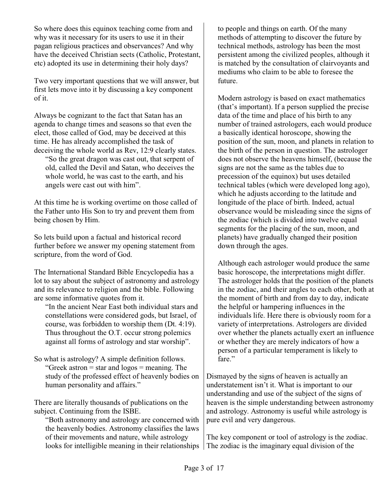So where does this equinox teaching come from and why was it necessary for its users to use it in their pagan religious practices and observances? And why have the deceived Christian sects (Catholic, Protestant, etc) adopted its use in determining their holy days?

Two very important questions that we will answer, but first lets move into it by discussing a key component of it.

Always be cognizant to the fact that Satan has an agenda to change times and seasons so that even the elect, those called of God, may be deceived at this time. He has already accomplished the task of deceiving the whole world as Rev, 12:9 clearly states.

"So the great dragon was cast out, that serpent of old, called the Devil and Satan, who deceives the whole world, he was cast to the earth, and his angels were cast out with him".

At this time he is working overtime on those called of the Father unto His Son to try and prevent them from being chosen by Him.

So lets build upon a factual and historical record further before we answer my opening statement from scripture, from the word of God.

The International Standard Bible Encyclopedia has a lot to say about the subject of astronomy and astrology and its relevance to religion and the bible. Following are some informative quotes from it.

"In the ancient Near East both individual stars and constellations were considered gods, but Israel, of course, was forbidden to worship them (Dt. 4:19). Thus throughout the O.T. occur strong polemics against all forms of astrology and star worship".

So what is astrology? A simple definition follows. "Greek astron = star and logos = meaning. The study of the professed effect of heavenly bodies on human personality and affairs."

There are literally thousands of publications on the subject. Continuing from the ISBE.

"Both astronomy and astrology are concerned with the heavenly bodies. Astronomy classifies the laws of their movements and nature, while astrology looks for intelligible meaning in their relationships | The zodiac is the imaginary equal division of the

to people and things on earth. Of the many methods of attempting to discover the future by technical methods, astrology has been the most persistent among the civilized peoples, although it is matched by the consultation of clairvoyants and mediums who claim to be able to foresee the future.

Modern astrology is based on exact mathematics (that's important). If a person supplied the precise data of the time and place of his birth to any number of trained astrologers, each would produce a basically identical horoscope, showing the position of the sun, moon, and planets in relation to the birth of the person in question. The astrologer does not observe the heavens himself, (because the signs are not the same as the tables due to precession of the equinox) but uses detailed technical tables (which were developed long ago), which he adjusts according to the latitude and longitude of the place of birth. Indeed, actual observance would be misleading since the signs of the zodiac (which is divided into twelve equal segments for the placing of the sun, moon, and planets) have gradually changed their position down through the ages.

Although each astrologer would produce the same basic horoscope, the interpretations might differ. The astrologer holds that the position of the planets in the zodiac, and their angles to each other, both at the moment of birth and from day to day, indicate the helpful or hampering influences in the individuals life. Here there is obviously room for a variety of interpretations. Astrologers are divided over whether the planets actually exert an influence or whether they are merely indicators of how a person of a particular temperament is likely to fare."

Dismayed by the signs of heaven is actually an understatement isn't it. What is important to our understanding and use of the subject of the signs of heaven is the simple understanding between astronomy and astrology. Astronomy is useful while astrology is pure evil and very dangerous.

The key component or tool of astrology is the zodiac.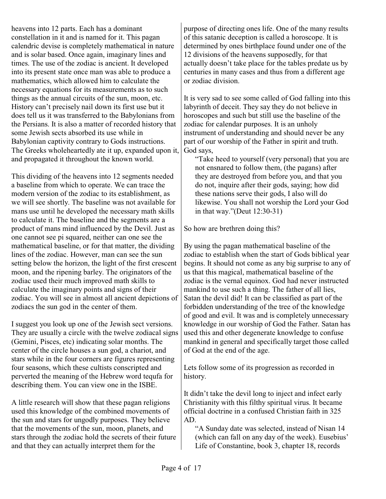heavens into 12 parts. Each has a dominant constellation in it and is named for it. This pagan calendric devise is completely mathematical in nature and is solar based. Once again, imaginary lines and times. The use of the zodiac is ancient. It developed into its present state once man was able to produce a mathematics, which allowed him to calculate the necessary equations for its measurements as to such things as the annual circuits of the sun, moon, etc. History can't precisely nail down its first use but it does tell us it was transferred to the Babylonians from the Persians. It is also a matter of recorded history that some Jewish sects absorbed its use while in Babylonian captivity contrary to Gods instructions. The Greeks wholeheartedly ate it up, expanded upon it, and propagated it throughout the known world.

This dividing of the heavens into 12 segments needed a baseline from which to operate. We can trace the modern version of the zodiac to its establishment, as we will see shortly. The baseline was not available for mans use until he developed the necessary math skills to calculate it. The baseline and the segments are a product of mans mind influenced by the Devil. Just as one cannot see pi squared, neither can one see the mathematical baseline, or for that matter, the dividing lines of the zodiac. However, man can see the sun setting below the horizon, the light of the first crescent moon, and the ripening barley. The originators of the zodiac used their much improved math skills to calculate the imaginary points and signs of their zodiac. You will see in almost all ancient depictions of zodiacs the sun god in the center of them.

I suggest you look up one of the Jewish sect versions. They are usually a circle with the twelve zodiacal signs (Gemini, Pisces, etc) indicating solar months. The center of the circle houses a sun god, a chariot, and stars while in the four corners are figures representing four seasons, which these cultists conscripted and perverted the meaning of the Hebrew word tequfa for describing them. You can view one in the ISBE.

A little research will show that these pagan religions used this knowledge of the combined movements of the sun and stars for ungodly purposes. They believe that the movements of the sun, moon, planets, and stars through the zodiac hold the secrets of their future and that they can actually interpret them for the

purpose of directing ones life. One of the many results of this satanic deception is called a horoscope. It is determined by ones birthplace found under one of the 12 divisions of the heavens supposedly, for that actually doesn't take place for the tables predate us by centuries in many cases and thus from a different age or zodiac division.

It is very sad to see some called of God falling into this labyrinth of deceit. They say they do not believe in horoscopes and such but still use the baseline of the zodiac for calendar purposes. It is an unholy instrument of understanding and should never be any part of our worship of the Father in spirit and truth. God says,

"Take heed to yourself (very personal) that you are not ensnared to follow them, (the pagans) after they are destroyed from before you, and that you do not, inquire after their gods, saying; how did these nations serve their gods, I also will do likewise. You shall not worship the Lord your God in that way."(Deut 12:30-31)

So how are brethren doing this?

By using the pagan mathematical baseline of the zodiac to establish when the start of Gods biblical year begins. It should not come as any big surprise to any of us that this magical, mathematical baseline of the zodiac is the vernal equinox. God had never instructed mankind to use such a thing. The father of all lies, Satan the devil did! It can be classified as part of the forbidden understanding of the tree of the knowledge of good and evil. It was and is completely unnecessary knowledge in our worship of God the Father. Satan has used this and other degenerate knowledge to confuse mankind in general and specifically target those called of God at the end of the age.

Lets follow some of its progression as recorded in history.

It didn't take the devil long to inject and infect early Christianity with this filthy spiritual virus. It became official doctrine in a confused Christian faith in 325 AD.

"A Sunday date was selected, instead of Nisan 14 (which can fall on any day of the week). Eusebius' Life of Constantine, book 3, chapter 18, records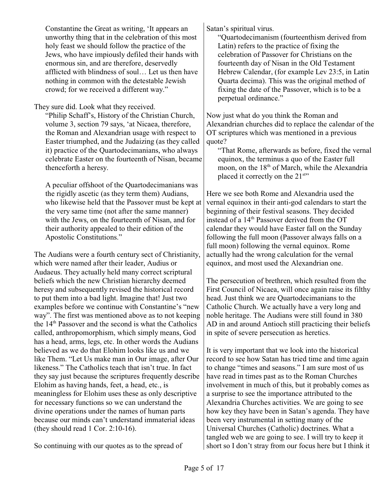Constantine the Great as writing, 'It appears an unworthy thing that in the celebration of this most holy feast we should follow the practice of the Jews, who have impiously defiled their hands with enormous sin, and are therefore, deservedly afflicted with blindness of soul… Let us then have nothing in common with the detestable Jewish crowd; for we received a different way."

They sure did. Look what they received.

"Philip Schaff's, History of the Christian Church, volume 3, section 79 says, 'at Nicaea, therefore, the Roman and Alexandrian usage with respect to Easter triumphed, and the Judaizing (as they called it) practice of the Quartodecimanians, who always celebrate Easter on the fourteenth of Nisan, became thenceforth a heresy.

A peculiar offshoot of the Quartodecimanians was the rigidly ascetic (as they term them) Audians, who likewise held that the Passover must be kept at the very same time (not after the same manner) with the Jews, on the fourteenth of Nisan, and for their authority appealed to their edition of the Apostolic Constitutions."

The Audians were a fourth century sect of Christianity, which were named after their leader, Audius or Audaeus. They actually held many correct scriptural beliefs which the new Christian hierarchy deemed heresy and subsequently revised the historical record to put them into a bad light. Imagine that! Just two examples before we continue with Constantine's "new way". The first was mentioned above as to not keeping the 14<sup>th</sup> Passover and the second is what the Catholics called, anthropomorphism, which simply means, God has a head, arms, legs, etc. In other words the Audians believed as we do that Elohim looks like us and we like Them. "Let Us make man in Our image, after Our likeness." The Catholics teach that isn't true. In fact they say just because the scriptures frequently describe Elohim as having hands, feet, a head, etc., is meaningless for Elohim uses these as only descriptive for necessary functions so we can understand the divine operations under the names of human parts because our minds can't understand immaterial ideas (they should read 1 Cor. 2:10-16).

So continuing with our quotes as to the spread of

Satan's spiritual virus.

"Quartodecimanism (fourteenthism derived from Latin) refers to the practice of fixing the celebration of Passover for Christians on the fourteenth day of Nisan in the Old Testament Hebrew Calendar, (for example Lev 23:5, in Latin Quarta decima). This was the original method of fixing the date of the Passover, which is to be a perpetual ordinance."

Now just what do you think the Roman and Alexandrian churches did to replace the calendar of the OT scriptures which was mentioned in a previous quote?

"That Rome, afterwards as before, fixed the vernal equinox, the terminus a quo of the Easter full moon, on the  $18<sup>th</sup>$  of March, while the Alexandria placed it correctly on the 21<sup>sty</sup>

Here we see both Rome and Alexandria used the vernal equinox in their anti-god calendars to start the beginning of their festival seasons. They decided instead of a  $14<sup>th</sup>$  Passover derived from the OT calendar they would have Easter fall on the Sunday following the full moon (Passover always falls on a full moon) following the vernal equinox. Rome actually had the wrong calculation for the vernal equinox, and most used the Alexandrian one.

The persecution of brethren, which resulted from the First Council of Nicaea, will once again raise its filthy head. Just think we are Quartodecimanians to the Catholic Church. We actually have a very long and noble heritage. The Audians were still found in 380 AD in and around Antioch still practicing their beliefs in spite of severe persecution as heretics.

It is very important that we look into the historical record to see how Satan has tried time and time again to change "times and seasons." I am sure most of us have read in times past as to the Roman Churches involvement in much of this, but it probably comes as a surprise to see the importance attributed to the Alexandria Churches activities. We are going to see how key they have been in Satan's agenda. They have been very instrumental in setting many of the Universal Churches (Catholic) doctrines. What a tangled web we are going to see. I will try to keep it short so I don't stray from our focus here but I think it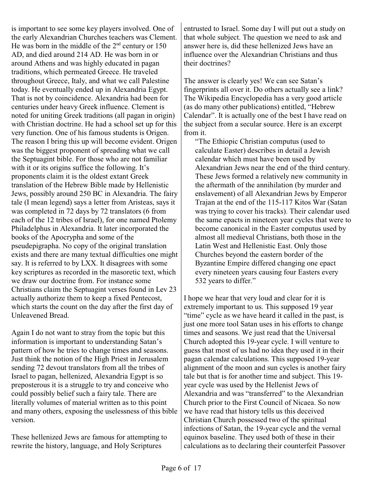is important to see some key players involved. One of the early Alexandrian Churches teachers was Clement. He was born in the middle of the  $2<sup>nd</sup>$  century or 150 AD, and died around 214 AD. He was born in or around Athens and was highly educated in pagan traditions, which permeated Greece. He traveled throughout Greece, Italy, and what we call Palestine today. He eventually ended up in Alexandria Egypt. That is not by coincidence. Alexandria had been for centuries under heavy Greek influence. Clement is noted for uniting Greek traditions (all pagan in origin) with Christian doctrine. He had a school set up for this very function. One of his famous students is Origen. The reason I bring this up will become evident. Origen was the biggest proponent of spreading what we call the Septuagint bible. For those who are not familiar with it or its origins suffice the following. It's proponents claim it is the oldest extant Greek translation of the Hebrew Bible made by Hellenistic Jews, possibly around 250 BC in Alexandria. The fairy tale (I mean legend) says a letter from Aristeas, says it was completed in 72 days by 72 translators (6 from each of the 12 tribes of Israel), for one named Ptolemy Philadelphus in Alexandria. It later incorporated the books of the Apocrypha and some of the pseudepigrapha. No copy of the original translation exists and there are many textual difficulties one might say. It is referred to by LXX. It disagrees with some key scriptures as recorded in the masoretic text, which we draw our doctrine from. For instance some Christians claim the Septuagint verses found in Lev 23 actually authorize them to keep a fixed Pentecost, which starts the count on the day after the first day of Unleavened Bread.

Again I do not want to stray from the topic but this information is important to understanding Satan's pattern of how he tries to change times and seasons. Just think the notion of the High Priest in Jerusalem sending 72 devout translators from all the tribes of Israel to pagan, hellenized, Alexandria Egypt is so preposterous it is a struggle to try and conceive who could possibly belief such a fairy tale. There are literally volumes of material written as to this point and many others, exposing the uselessness of this bible version.

These hellenized Jews are famous for attempting to rewrite the history, language, and Holy Scriptures

entrusted to Israel. Some day I will put out a study on that whole subject. The question we need to ask and answer here is, did these hellenized Jews have an influence over the Alexandrian Christians and thus their doctrines?

The answer is clearly yes! We can see Satan's fingerprints all over it. Do others actually see a link? The Wikipedia Encyclopedia has a very good article (as do many other publications) entitled, "Hebrew Calendar". It is actually one of the best I have read on the subject from a secular source. Here is an excerpt from it.

"The Ethiopic Christian computus (used to calculate Easter) describes in detail a Jewish calendar which must have been used by Alexandrian Jews near the end of the third century. These Jews formed a relatively new community in the aftermath of the annihilation (by murder and enslavement) of all Alexandrian Jews by Emperor Trajan at the end of the 115-117 Kitos War (Satan was trying to cover his tracks). Their calendar used the same epacts in nineteen year cycles that were to become canonical in the Easter computus used by almost all medieval Christians, both those in the Latin West and Hellenistic East. Only those Churches beyond the eastern border of the Byzantine Empire differed changing one epact every nineteen years causing four Easters every 532 years to differ."

I hope we hear that very loud and clear for it is extremely important to us. This supposed 19 year "time" cycle as we have heard it called in the past, is just one more tool Satan uses in his efforts to change times and seasons. We just read that the Universal Church adopted this 19-year cycle. I will venture to guess that most of us had no idea they used it in their pagan calendar calculations. This supposed 19-year alignment of the moon and sun cycles is another fairy tale but that is for another time and subject. This 19 year cycle was used by the Hellenist Jews of Alexandria and was "transferred" to the Alexandrian Church prior to the First Council of Nicaea. So now we have read that history tells us this deceived Christian Church possessed two of the spiritual infections of Satan, the 19-year cycle and the vernal equinox baseline. They used both of these in their calculations as to declaring their counterfeit Passover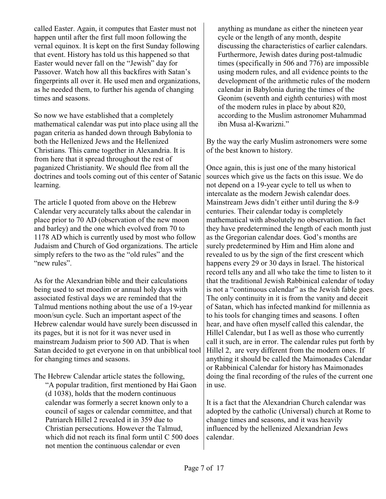called Easter. Again, it computes that Easter must not happen until after the first full moon following the vernal equinox. It is kept on the first Sunday following that event. History has told us this happened so that Easter would never fall on the "Jewish" day for Passover. Watch how all this backfires with Satan's fingerprints all over it. He used men and organizations, as he needed them, to further his agenda of changing times and seasons.

So now we have established that a completely mathematical calendar was put into place using all the pagan criteria as handed down through Babylonia to both the Hellenized Jews and the Hellenized Christians. This came together in Alexandria. It is from here that it spread throughout the rest of paganized Christianity. We should flee from all the doctrines and tools coming out of this center of Satanic learning.

The article I quoted from above on the Hebrew Calendar very accurately talks about the calendar in place prior to 70 AD (observation of the new moon and barley) and the one which evolved from 70 to 1178 AD which is currently used by most who follow Judaism and Church of God organizations. The article simply refers to the two as the "old rules" and the "new rules".

As for the Alexandrian bible and their calculations being used to set moedim or annual holy days with associated festival days we are reminded that the Talmud mentions nothing about the use of a 19-year moon/sun cycle. Such an important aspect of the Hebrew calendar would have surely been discussed in its pages, but it is not for it was never used in mainstream Judaism prior to 500 AD. That is when Satan decided to get everyone in on that unbiblical tool for changing times and seasons.

The Hebrew Calendar article states the following, "A popular tradition, first mentioned by Hai Gaon (d 1038), holds that the modern continuous calendar was formerly a secret known only to a council of sages or calendar committee, and that Patriarch Hillel 2 revealed it in 359 due to Christian persecutions. However the Talmud, which did not reach its final form until C 500 does not mention the continuous calendar or even

anything as mundane as either the nineteen year cycle or the length of any month, despite discussing the characteristics of earlier calendars. Furthermore, Jewish dates during post-talmudic times (specifically in 506 and 776) are impossible using modern rules, and all evidence points to the development of the arithmetic rules of the modern calendar in Babylonia during the times of the Geonim (seventh and eighth centuries) with most of the modern rules in place by about 820, according to the Muslim astronomer Muhammad ibn Musa al-Kwarizni."

By the way the early Muslim astronomers were some of the best known to history.

Once again, this is just one of the many historical sources which give us the facts on this issue. We do not depend on a 19-year cycle to tell us when to intercalate as the modern Jewish calendar does. Mainstream Jews didn't either until during the 8-9 centuries. Their calendar today is completely mathematical with absolutely no observation. In fact they have predetermined the length of each month just as the Gregorian calendar does. God's months are surely predetermined by Him and Him alone and revealed to us by the sign of the first crescent which happens every 29 or 30 days in Israel. The historical record tells any and all who take the time to listen to it that the traditional Jewish Rabbinical calendar of today is not a "continuous calendar" as the Jewish fable goes. The only continuity in it is from the vanity and deceit of Satan, which has infected mankind for millennia as to his tools for changing times and seasons. I often hear, and have often myself called this calendar, the Hillel Calendar, but I as well as those who currently call it such, are in error. The calendar rules put forth by Hillel 2, are very different from the modern ones. If anything it should be called the Maimonades Calendar or Rabbinical Calendar for history has Maimonades doing the final recording of the rules of the current one in use.

It is a fact that the Alexandrian Church calendar was adopted by the catholic (Universal) church at Rome to change times and seasons, and it was heavily influenced by the hellenized Alexandrian Jews calendar.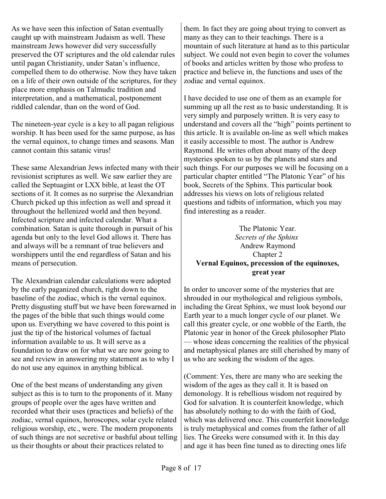As we have seen this infection of Satan eventually caught up with mainstream Judaism as well. These mainstream Jews however did very successfully preserved the OT scriptures and the old calendar rules until pagan Christianity, under Satan's influence, compelled them to do otherwise. Now they have taken on a life of their own outside of the scriptures, for they place more emphasis on Talmudic tradition and interpretation, and a mathematical, postponement riddled calendar, than on the word of God.

The nineteen-year cycle is a key to all pagan religious worship. It has been used for the same purpose, as has the vernal equinox, to change times and seasons. Man cannot contain this satanic virus!

These same Alexandrian Jews infected many with their revisionist scriptures as well. We saw earlier they are called the Septuagint or LXX bible, at least the OT sections of it. It comes as no surprise the Alexandrian Church picked up this infection as well and spread it throughout the hellenized world and then beyond. Infected scripture and infected calendar. What a combination. Satan is quite thorough in pursuit of his agenda but only to the level God allows it. There has and always will be a remnant of true believers and worshippers until the end regardless of Satan and his means of persecution.

The Alexandrian calendar calculations were adopted by the early paganized church, right down to the baseline of the zodiac, which is the vernal equinox. Pretty disgusting stuff but we have been forewarned in the pages of the bible that such things would come upon us. Everything we have covered to this point is just the tip of the historical volumes of factual information available to us. It will serve as a foundation to draw on for what we are now going to see and review in answering my statement as to why I do not use any equinox in anything biblical.

One of the best means of understanding any given subject as this is to turn to the proponents of it. Many groups of people over the ages have written and recorded what their uses (practices and beliefs) of the zodiac, vernal equinox, horoscopes, solar cycle related religious worship, etc., were. The modern proponents of such things are not secretive or bashful about telling us their thoughts or about their practices related to

them. In fact they are going about trying to convert as many as they can to their teachings. There is a mountain of such literature at hand as to this particular subject. We could not even begin to cover the volumes of books and articles written by those who profess to practice and believe in, the functions and uses of the zodiac and vernal equinox.

I have decided to use one of them as an example for summing up all the rest as to basic understanding. It is very simply and purposely written. It is very easy to understand and covers all the "high" points pertinent to this article. It is available on-line as well which makes it easily accessible to most. The author is Andrew Raymond. He writes often about many of the deep mysteries spoken to us by the planets and stars and such things. For our purposes we will be focusing on a particular chapter entitled "The Platonic Year" of his book, Secrets of the Sphinx. This particular book addresses his views on lots of religious related questions and tidbits of information, which you may find interesting as a reader.

#### The Platonic Year. *Secrets of the Sphinx*  Andrew Raymond Chapter 2 **Vernal Equinox, precession of the equinoxes, great year**

In order to uncover some of the mysteries that are shrouded in our mythological and religious symbols, including the Great Sphinx, we must look beyond our Earth year to a much longer cycle of our planet. We call this greater cycle, or one wobble of the Earth, the Platonic year in honor of the Greek philosopher Plato — whose ideas concerning the realities of the physical and metaphysical planes are still cherished by many of us who are seeking the wisdom of the ages.

(Comment: Yes, there are many who are seeking the wisdom of the ages as they call it. It is based on demonology. It is rebellious wisdom not required by God for salvation. It is counterfeit knowledge, which has absolutely nothing to do with the faith of God, which was delivered once. This counterfeit knowledge is truly metaphysical and comes from the father of all lies. The Greeks were consumed with it. In this day and age it has been fine tuned as to directing ones life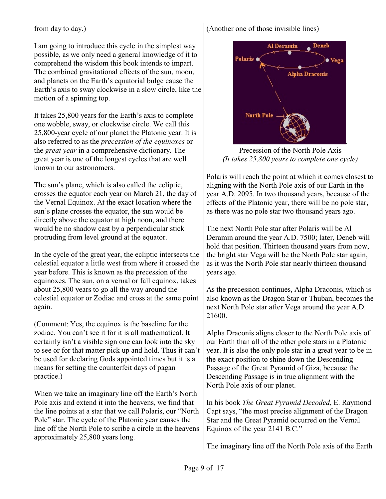from day to day.)

I am going to introduce this cycle in the simplest way possible, as we only need a general knowledge of it to comprehend the wisdom this book intends to impart. The combined gravitational effects of the sun, moon, and planets on the Earth's equatorial bulge cause the Earth's axis to sway clockwise in a slow circle, like the motion of a spinning top.

It takes 25,800 years for the Earth's axis to complete one wobble, sway, or clockwise circle. We call this 25,800-year cycle of our planet the Platonic year. It is also referred to as the *precession of the equinoxes* or the *great year* in a comprehensive dictionary. The great year is one of the longest cycles that are well known to our astronomers.

The sun's plane, which is also called the ecliptic, crosses the equator each year on March 21, the day of the Vernal Equinox. At the exact location where the sun's plane crosses the equator, the sun would be directly above the equator at high noon, and there would be no shadow cast by a perpendicular stick protruding from level ground at the equator.

In the cycle of the great year, the ecliptic intersects the celestial equator a little west from where it crossed the year before. This is known as the precession of the equinoxes. The sun, on a vernal or fall equinox, takes about 25,800 years to go all the way around the celestial equator or Zodiac and cross at the same point again.

(Comment: Yes, the equinox is the baseline for the zodiac. You can't see it for it is all mathematical. It certainly isn't a visible sign one can look into the sky to see or for that matter pick up and hold. Thus it can't be used for declaring Gods appointed times but it is a means for setting the counterfeit days of pagan practice.)

When we take an imaginary line off the Earth's North Pole axis and extend it into the heavens, we find that the line points at a star that we call Polaris, our "North Pole" star. The cycle of the Platonic year causes the line off the North Pole to scribe a circle in the heavens approximately 25,800 years long.

(Another one of those invisible lines)



Precession of the North Pole Axis *(It takes 25,800 years to complete one cycle)*

Polaris will reach the point at which it comes closest to aligning with the North Pole axis of our Earth in the year A.D. 2095. In two thousand years, because of the effects of the Platonic year, there will be no pole star, as there was no pole star two thousand years ago.

The next North Pole star after Polaris will be Al Deramin around the year A.D. 7500; later, Deneb will hold that position. Thirteen thousand years from now, the bright star Vega will be the North Pole star again, as it was the North Pole star nearly thirteen thousand years ago.

As the precession continues, Alpha Draconis, which is also known as the Dragon Star or Thuban, becomes the next North Pole star after Vega around the year A.D. 21600.

Alpha Draconis aligns closer to the North Pole axis of our Earth than all of the other pole stars in a Platonic year. It is also the only pole star in a great year to be in the exact position to shine down the Descending Passage of the Great Pyramid of Giza, because the Descending Passage is in true alignment with the North Pole axis of our planet.

In his book *The Great Pyramid Decoded*, E. Raymond Capt says, "the most precise alignment of the Dragon Star and the Great Pyramid occurred on the Vernal Equinox of the year 2141 B.C."

The imaginary line off the North Pole axis of the Earth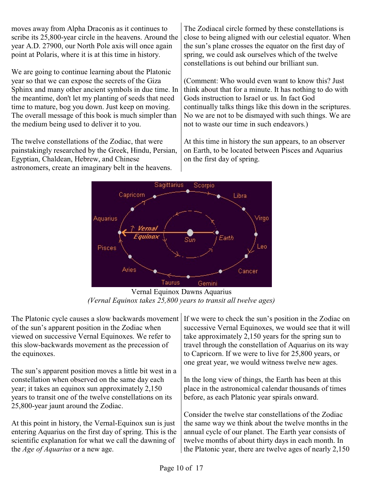moves away from Alpha Draconis as it continues to scribe its 25,800-year circle in the heavens. Around the year A.D. 27900, our North Pole axis will once again point at Polaris, where it is at this time in history.

We are going to continue learning about the Platonic year so that we can expose the secrets of the Giza Sphinx and many other ancient symbols in due time. In the meantime, don't let my planting of seeds that need time to mature, bog you down. Just keep on moving. The overall message of this book is much simpler than the medium being used to deliver it to you.

The twelve constellations of the Zodiac, that were painstakingly researched by the Greek, Hindu, Persian, Egyptian, Chaldean, Hebrew, and Chinese astronomers, create an imaginary belt in the heavens.

The Zodiacal circle formed by these constellations is close to being aligned with our celestial equator. When the sun's plane crosses the equator on the first day of spring, we could ask ourselves which of the twelve constellations is out behind our brilliant sun.

(Comment: Who would even want to know this? Just think about that for a minute. It has nothing to do with Gods instruction to Israel or us. In fact God continually talks things like this down in the scriptures. No we are not to be dismayed with such things. We are not to waste our time in such endeavors.)

At this time in history the sun appears, to an observer on Earth, to be located between Pisces and Aquarius on the first day of spring.



Vernal Equinox Dawns Aquarius *(Vernal Equinox takes 25,800 years to transit all twelve ages)*

The Platonic cycle causes a slow backwards movement of the sun's apparent position in the Zodiac when viewed on successive Vernal Equinoxes. We refer to this slow-backwards movement as the precession of the equinoxes.

The sun's apparent position moves a little bit west in a constellation when observed on the same day each year; it takes an equinox sun approximately 2,150 years to transit one of the twelve constellations on its 25,800-year jaunt around the Zodiac.

At this point in history, the Vernal-Equinox sun is just entering Aquarius on the first day of spring. This is the scientific explanation for what we call the dawning of the *Age of Aquarius* or a new age.

If we were to check the sun's position in the Zodiac on successive Vernal Equinoxes, we would see that it will take approximately 2,150 years for the spring sun to travel through the constellation of Aquarius on its way to Capricorn. If we were to live for 25,800 years, or one great year, we would witness twelve new ages.

In the long view of things, the Earth has been at this place in the astronomical calendar thousands of times before, as each Platonic year spirals onward.

Consider the twelve star constellations of the Zodiac the same way we think about the twelve months in the annual cycle of our planet. The Earth year consists of twelve months of about thirty days in each month. In the Platonic year, there are twelve ages of nearly 2,150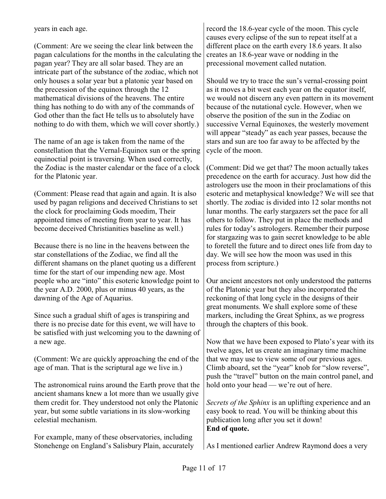years in each age.

(Comment: Are we seeing the clear link between the pagan calculations for the months in the calculating the pagan year? They are all solar based. They are an intricate part of the substance of the zodiac, which not only houses a solar year but a platonic year based on the precession of the equinox through the 12 mathematical divisions of the heavens. The entire thing has nothing to do with any of the commands of God other than the fact He tells us to absolutely have nothing to do with them, which we will cover shortly.)

The name of an age is taken from the name of the constellation that the Vernal-Equinox sun or the spring equinoctial point is traversing. When used correctly, the Zodiac is the master calendar or the face of a clock for the Platonic year.

(Comment: Please read that again and again. It is also used by pagan religions and deceived Christians to set the clock for proclaiming Gods moedim, Their appointed times of meeting from year to year. It has become deceived Christianities baseline as well.)

Because there is no line in the heavens between the star constellations of the Zodiac, we find all the different shamans on the planet quoting us a different time for the start of our impending new age. Most people who are "into" this esoteric knowledge point to the year A.D. 2000, plus or minus 40 years, as the dawning of the Age of Aquarius.

Since such a gradual shift of ages is transpiring and there is no precise date for this event, we will have to be satisfied with just welcoming you to the dawning of a new age.

(Comment: We are quickly approaching the end of the age of man. That is the scriptural age we live in.)

The astronomical ruins around the Earth prove that the ancient shamans knew a lot more than we usually give them credit for. They understood not only the Platonic year, but some subtle variations in its slow-working celestial mechanism.

For example, many of these observatories, including Stonehenge on England's Salisbury Plain, accurately record the 18.6-year cycle of the moon. This cycle causes every eclipse of the sun to repeat itself at a different place on the earth every 18.6 years. It also creates an 18.6-year wave or nodding in the precessional movement called nutation.

Should we try to trace the sun's vernal-crossing point as it moves a bit west each year on the equator itself, we would not discern any even pattern in its movement because of the nutational cycle. However, when we observe the position of the sun in the Zodiac on successive Vernal Equinoxes, the westerly movement will appear "steady" as each year passes, because the stars and sun are too far away to be affected by the cycle of the moon.

(Comment: Did we get that? The moon actually takes precedence on the earth for accuracy. Just how did the astrologers use the moon in their proclamations of this esoteric and metaphysical knowledge? We will see that shortly. The zodiac is divided into 12 solar months not lunar months. The early stargazers set the pace for all others to follow. They put in place the methods and rules for today's astrologers. Remember their purpose for stargazing was to gain secret knowledge to be able to foretell the future and to direct ones life from day to day. We will see how the moon was used in this process from scripture.)

Our ancient ancestors not only understood the patterns of the Platonic year but they also incorporated the reckoning of that long cycle in the designs of their great monuments. We shall explore some of these markers, including the Great Sphinx, as we progress through the chapters of this book.

Now that we have been exposed to Plato's year with its twelve ages, let us create an imaginary time machine that we may use to view some of our previous ages. Climb aboard, set the "year" knob for "slow reverse", push the "travel" button on the main control panel, and hold onto your head — we're out of here.

*Secrets of the Sphinx* is an uplifting experience and an easy book to read. You will be thinking about this publication long after you set it down! **End of quote.**

As I mentioned earlier Andrew Raymond does a very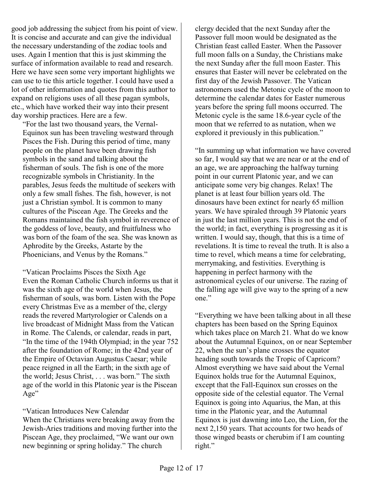good job addressing the subject from his point of view. It is concise and accurate and can give the individual the necessary understanding of the zodiac tools and uses. Again I mention that this is just skimming the surface of information available to read and research. Here we have seen some very important highlights we can use to tie this article together. I could have used a lot of other information and quotes from this author to expand on religions uses of all these pagan symbols, etc., which have worked their way into their present day worship practices. Here are a few.

"For the last two thousand years, the Vernal-Equinox sun has been traveling westward through Pisces the Fish. During this period of time, many people on the planet have been drawing fish symbols in the sand and talking about the fisherman of souls. The fish is one of the more recognizable symbols in Christianity. In the parables, Jesus feeds the multitude of seekers with only a few small fishes. The fish, however, is not just a Christian symbol. It is common to many cultures of the Piscean Age. The Greeks and the Romans maintained the fish symbol in reverence of the goddess of love, beauty, and fruitfulness who was born of the foam of the sea. She was known as Aphrodite by the Greeks, Astarte by the Phoenicians, and Venus by the Romans."

"Vatican Proclaims Pisces the Sixth Age Even the Roman Catholic Church informs us that it was the sixth age of the world when Jesus, the fisherman of souls, was born. Listen with the Pope every Christmas Eve as a member of the, clergy reads the revered Martyrologier or Calends on a live broadcast of Midnight Mass from the Vatican in Rome. The Calends, or calendar, reads in part, "In the time of the 194th Olympiad; in the year 752 after the foundation of Rome; in the 42nd year of the Empire of Octavian Augustus Caesar; while peace reigned in all the Earth; in the sixth age of the world; Jesus Christ, . . . was born." The sixth age of the world in this Platonic year is the Piscean Age"

### "Vatican Introduces New Calendar

When the Christians were breaking away from the Jewish-Aries traditions and moving further into the Piscean Age, they proclaimed, "We want our own new beginning or spring holiday." The church

clergy decided that the next Sunday after the Passover full moon would be designated as the Christian feast called Easter. When the Passover full moon falls on a Sunday, the Christians make the next Sunday after the full moon Easter. This ensures that Easter will never be celebrated on the first day of the Jewish Passover. The Vatican astronomers used the Metonic cycle of the moon to determine the calendar dates for Easter numerous years before the spring full moons occurred. The Metonic cycle is the same 18.6-year cycle of the moon that we referred to as nutation, when we explored it previously in this publication."

"In summing up what information we have covered so far, I would say that we are near or at the end of an age, we are approaching the halfway turning point in our current Platonic year, and we can anticipate some very big changes. Relax! The planet is at least four billion years old. The dinosaurs have been extinct for nearly 65 million years. We have spiraled through 39 Platonic years in just the last million years. This is not the end of the world; in fact, everything is progressing as it is written. I would say, though, that this is a time of revelations. It is time to reveal the truth. It is also a time to revel, which means a time for celebrating, merrymaking, and festivities. Everything is happening in perfect harmony with the astronomical cycles of our universe. The razing of the falling age will give way to the spring of a new one."

"Everything we have been talking about in all these chapters has been based on the Spring Equinox which takes place on March 21. What do we know about the Autumnal Equinox, on or near September 22, when the sun's plane crosses the equator heading south towards the Tropic of Capricorn? Almost everything we have said about the Vernal Equinox holds true for the Autumnal Equinox, except that the Fall-Equinox sun crosses on the opposite side of the celestial equator. The Vernal Equinox is going into Aquarius, the Man, at this time in the Platonic year, and the Autumnal Equinox is just dawning into Leo, the Lion, for the next 2,150 years. That accounts for two heads of those winged beasts or cherubim if I am counting right."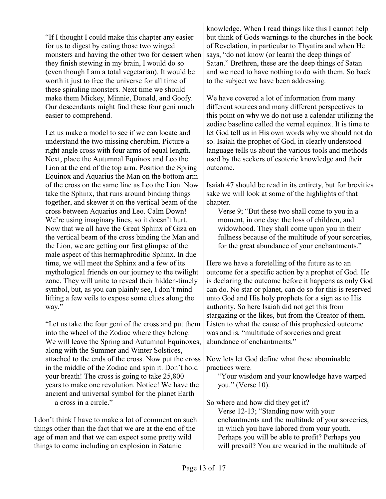"If I thought I could make this chapter any easier for us to digest by eating those two winged monsters and having the other two for dessert when they finish stewing in my brain, I would do so (even though I am a total vegetarian). It would be worth it just to free the universe for all time of these spiraling monsters. Next time we should make them Mickey, Minnie, Donald, and Goofy. Our descendants might find these four geni much easier to comprehend.

Let us make a model to see if we can locate and understand the two missing cherubim. Picture a right angle cross with four arms of equal length. Next, place the Autumnal Equinox and Leo the Lion at the end of the top arm. Position the Spring Equinox and Aquarius the Man on the bottom arm of the cross on the same line as Leo the Lion. Now take the Sphinx, that runs around binding things together, and skewer it on the vertical beam of the cross between Aquarius and Leo. Calm Down! We're using imaginary lines, so it doesn't hurt. Now that we all have the Great Sphinx of Giza on the vertical beam of the cross binding the Man and the Lion, we are getting our first glimpse of the male aspect of this hermaphroditic Sphinx. In due time, we will meet the Sphinx and a few of its mythological friends on our journey to the twilight zone. They will unite to reveal their hidden-timely symbol, but, as you can plainly see, I don't mind lifting a few veils to expose some clues along the way."

"Let us take the four geni of the cross and put them into the wheel of the Zodiac where they belong. We will leave the Spring and Autumnal Equinoxes, along with the Summer and Winter Solstices, attached to the ends of the cross. Now put the cross in the middle of the Zodiac and spin it. Don't hold your breath! The cross is going to take 25,800 years to make one revolution. Notice! We have the ancient and universal symbol for the planet Earth — a cross in a circle."

I don't think I have to make a lot of comment on such things other than the fact that we are at the end of the age of man and that we can expect some pretty wild things to come including an explosion in Satanic

knowledge. When I read things like this I cannot help but think of Gods warnings to the churches in the book of Revelation, in particular to Thyatira and when He says, "do not know (or learn) the deep things of Satan." Brethren, these are the deep things of Satan and we need to have nothing to do with them. So back to the subject we have been addressing.

We have covered a lot of information from many different sources and many different perspectives to this point on why we do not use a calendar utilizing the zodiac baseline called the vernal equinox. It is time to let God tell us in His own words why we should not do so. Isaiah the prophet of God, in clearly understood language tells us about the various tools and methods used by the seekers of esoteric knowledge and their outcome.

Isaiah 47 should be read in its entirety, but for brevities sake we will look at some of the highlights of that chapter.

Verse 9; "But these two shall come to you in a moment, in one day: the loss of children, and widowhood. They shall come upon you in their fullness because of the multitude of your sorceries, for the great abundance of your enchantments."

Here we have a foretelling of the future as to an outcome for a specific action by a prophet of God. He is declaring the outcome before it happens as only God can do. No star or planet, can do so for this is reserved unto God and His holy prophets for a sign as to His authority. So here Isaiah did not get this from stargazing or the likes, but from the Creator of them. Listen to what the cause of this prophesied outcome was and is, "multitude of sorceries and great abundance of enchantments."

Now lets let God define what these abominable practices were.

"Your wisdom and your knowledge have warped you." (Verse 10).

So where and how did they get it?

Verse 12-13; "Standing now with your enchantments and the multitude of your sorceries, in which you have labored from your youth. Perhaps you will be able to profit? Perhaps you will prevail? You are wearied in the multitude of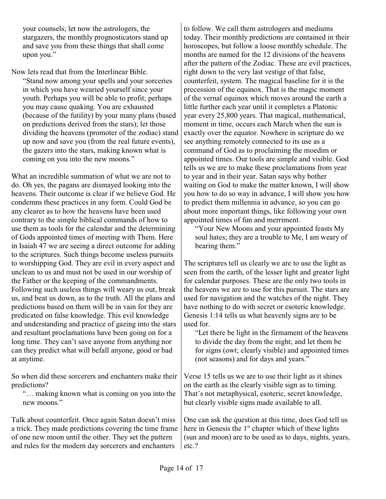your counsels; let now the astrologers, the stargazers, the monthly prognosticators stand up and save you from these things that shall come upon you."

Now lets read that from the Interlinear Bible. "Stand now among your spells and your sorceries in which you have wearied yourself since your youth. Perhaps you will be able to profit; perhaps you may cause quaking. You are exhausted (because of the futility) by your many plans (based on predictions derived from the stars); let those dividing the heavens (promoter of the zodiac) stand up now and save you (from the real future events), the gazers into the stars, making known what is coming on you into the new moons."

What an incredible summation of what we are not to do. Oh yes, the pagans are dismayed looking into the heavens. Their outcome is clear if we believe God. He condemns these practices in any form. Could God be any clearer as to how the heavens have been used contrary to the simple biblical commands of how to use them as tools for the calendar and the determining of Gods appointed times of meeting with Them. Here in Isaiah 47 we are seeing a direct outcome for adding to the scriptures. Such things become useless pursuits to worshipping God. They are evil in every aspect and unclean to us and must not be used in our worship of the Father or the keeping of the commandments. Following such useless things will weary us out, break us, and beat us down, as to the truth. All the plans and predictions based on them will be in vain for they are predicated on false knowledge. This evil knowledge and understanding and practice of gazing into the stars and resultant proclamations have been going on for a long time. They can't save anyone from anything nor can they predict what will befall anyone, good or bad at anytime.

So when did these sorcerers and enchanters make their predictions?

"… making known what is coming on you into the new moons."

Talk about counterfeit. Once again Satan doesn't miss a trick. They made predictions covering the time frame of one new moon until the other. They set the pattern and rules for the modern day sorcerers and enchanters

to follow. We call them astrologers and mediums today. Their monthly predictions are contained in their horoscopes, but follow a loose monthly schedule. The months are named for the 12 divisions of the heavens after the pattern of the Zodiac. These are evil practices, right down to the very last vestige of that false, counterfeit, system. The magical baseline for it is the precession of the equinox. That is the magic moment of the vernal equinox which moves around the earth a little further each year until it completes a Platonic year every 25,800 years. That magical, mathematical, moment in time, occurs each March when the sun is exactly over the equator. Nowhere in scripture do we see anything remotely connected to its use as a command of God as to proclaiming the moedim or appointed times. Our tools are simple and visible. God tells us we are to make these proclamations from year to year and in their year. Satan says why bother waiting on God to make the matter known, I will show you how to do so way in advance, I will show you how to predict them millennia in advance, so you can go about more important things, like following your own appointed times of fun and merriment.

"Your New Moons and your appointed feasts My soul hates; they are a trouble to Me, I am weary of bearing them."

The scriptures tell us clearly we are to use the light as seen from the earth, of the lesser light and greater light for calendar purposes. These are the only two tools in the heavens we are to use for this pursuit. The stars are used for navigation and the watches of the night. They have nothing to do with secret or esoteric knowledge. Genesis 1:14 tells us what heavenly signs are to be used for.

"Let there be light in the firmament of the heavens to divide the day from the night; and let them be for signs (owt; clearly visible) and appointed times (not seasons) and for days and years."

Verse 15 tells us we are to use their light as it shines on the earth as the clearly visible sign as to timing. That's not metaphysical, esoteric, secret knowledge, but clearly visible signs made available to all.

One can ask the question at this time, does God tell us here in Genesis the  $1<sup>st</sup>$  chapter which of these lights (sun and moon) are to be used as to days, nights, years, etc.?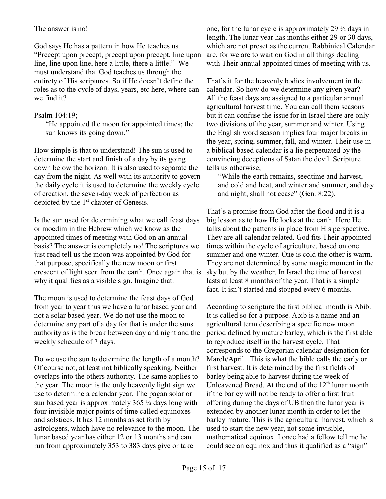The answer is no!

God says He has a pattern in how He teaches us. "Precept upon precept, precept upon precept, line upon line, line upon line, here a little, there a little." We must understand that God teaches us through the entirety of His scriptures. So if He doesn't define the roles as to the cycle of days, years, etc here, where can we find it?

## Psalm 104:19;

"He appointed the moon for appointed times; the sun knows its going down."

How simple is that to understand! The sun is used to determine the start and finish of a day by its going down below the horizon. It is also used to separate the day from the night. As well with its authority to govern the daily cycle it is used to determine the weekly cycle of creation, the seven-day week of perfection as depicted by the  $1<sup>st</sup>$  chapter of Genesis.

Is the sun used for determining what we call feast days or moedim in the Hebrew which we know as the appointed times of meeting with God on an annual basis? The answer is completely no! The scriptures we just read tell us the moon was appointed by God for that purpose, specifically the new moon or first crescent of light seen from the earth. Once again that is why it qualifies as a visible sign. Imagine that.

The moon is used to determine the feast days of God from year to year thus we have a lunar based year and not a solar based year. We do not use the moon to determine any part of a day for that is under the suns authority as is the break between day and night and the weekly schedule of 7 days.

Do we use the sun to determine the length of a month? Of course not, at least not biblically speaking. Neither overlaps into the others authority. The same applies to the year. The moon is the only heavenly light sign we use to determine a calendar year. The pagan solar or sun based year is approximately  $365\frac{1}{4}$  days long with four invisible major points of time called equinoxes and solstices. It has 12 months as set forth by astrologers, which have no relevance to the moon. The lunar based year has either 12 or 13 months and can run from approximately 353 to 383 days give or take

one, for the lunar cycle is approximately 29 ½ days in length. The lunar year has months either 29 or 30 days, which are not preset as the current Rabbinical Calendar are, for we are to wait on God in all things dealing with Their annual appointed times of meeting with us.

That's it for the heavenly bodies involvement in the calendar. So how do we determine any given year? All the feast days are assigned to a particular annual agricultural harvest time. You can call them seasons but it can confuse the issue for in Israel there are only two divisions of the year, summer and winter. Using the English word season implies four major breaks in the year, spring, summer, fall, and winter. Their use in a biblical based calendar is a lie perpetuated by the convincing deceptions of Satan the devil. Scripture tells us otherwise,

"While the earth remains, seedtime and harvest, and cold and heat, and winter and summer, and day and night, shall not cease" (Gen. 8:22).

That's a promise from God after the flood and it is a big lesson as to how He looks at the earth. Here He talks about the patterns in place from His perspective. They are all calendar related. God fits Their appointed times within the cycle of agriculture, based on one summer and one winter. One is cold the other is warm. They are not determined by some magic moment in the sky but by the weather. In Israel the time of harvest lasts at least 8 months of the year. That is a simple fact. It isn't started and stopped every 6 months.

According to scripture the first biblical month is Abib. It is called so for a purpose. Abib is a name and an agricultural term describing a specific new moon period defined by mature barley, which is the first able to reproduce itself in the harvest cycle. That corresponds to the Gregorian calendar designation for March/April. This is what the bible calls the early or first harvest. It is determined by the first fields of barley being able to harvest during the week of Unleavened Bread. At the end of the  $12<sup>th</sup>$  lunar month if the barley will not be ready to offer a first fruit offering during the days of UB then the lunar year is extended by another lunar month in order to let the barley mature. This is the agricultural harvest, which is used to start the new year, not some invisible, mathematical equinox. I once had a fellow tell me he could see an equinox and thus it qualified as a "sign"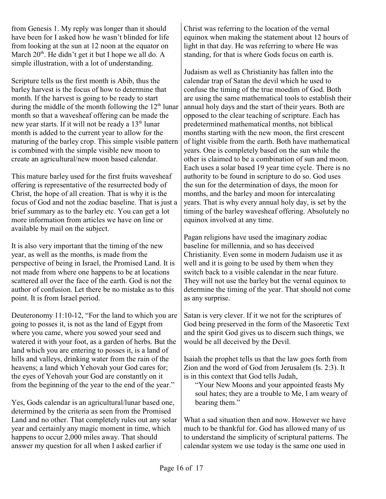from Genesis 1. My reply was longer than it should have been for I asked how he wasn't blinded for life from looking at the sun at 12 noon at the equator on March  $20<sup>th</sup>$ . He didn't get it but I hope we all do. A simple illustration, with a lot of understanding.

Scripture tells us the first month is Abib, thus the barley harvest is the focus of how to determine that month. If the harvest is going to be ready to start during the middle of the month following the  $12<sup>th</sup>$  lunar month so that a wavesheaf offering can be made the new year starts. If it will not be ready a  $13<sup>th</sup>$  lunar month is added to the current year to allow for the maturing of the barley crop. This simple visible pattern is combined with the simple visible new moon to create an agricultural/new moon based calendar.

This mature barley used for the first fruits wavesheaf offering is representative of the resurrected body of Christ, the hope of all creation. That is why it is the focus of God and not the zodiac baseline. That is just a brief summary as to the barley etc. You can get a lot more information from articles we have on line or available by mail on the subject.

It is also very important that the timing of the new year, as well as the months, is made from the perspective of being in Israel, the Promised Land. It is not made from where one happens to be at locations scattered all over the face of the earth. God is not the author of confusion. Let there be no mistake as to this point. It is from Israel period.

Deuteronomy 11:10-12, "For the land to which you are going to posses it, is not as the land of Egypt from where you came, where you sowed your seed and watered it with your foot, as a garden of herbs. But the land which you are entering to posses it, is a land of hills and valleys, drinking water from the rain of the heavens; a land which Yehovah your God cares for; the eyes of Yehovah your God are constantly on it from the beginning of the year to the end of the year."

Yes, Gods calendar is an agricultural/lunar based one, determined by the criteria as seen from the Promised Land and no other. That completely rules out any solar year and certainly any magic moment in time, which happens to occur 2,000 miles away. That should answer my question for all when I asked earlier if

Christ was referring to the location of the vernal equinox when making the statement about 12 hours of light in that day. He was referring to where He was standing, for that is where Gods focus on earth is.

Judaism as well as Christianity has fallen into the calendar trap of Satan the devil which he used to confuse the timing of the true moedim of God. Both are using the same mathematical tools to establish their annual holy days and the start of their years. Both are opposed to the clear teaching of scripture. Each has predetermined mathematical months, not biblical months starting with the new moon, the first crescent of light visible from the earth. Both have mathematical years. One is completely based on the sun while the other is claimed to be a combination of sun and moon. Each uses a solar based 19 year time cycle. There is no authority to be found in scripture to do so. God uses the sun for the determination of days, the moon for months, and the barley and moon for intercalating years. That is why every annual holy day, is set by the timing of the barley wavesheaf offering. Absolutely no equinox involved at any time.

Pagan religions have used the imaginary zodiac baseline for millennia, and so has deceived Christianity. Even some in modern Judaism use it as well and it is going to be used by them when they switch back to a visible calendar in the near future. They will not use the barley but the vernal equinox to determine the timing of the year. That should not come as any surprise.

Satan is very clever. If it we not for the scriptures of God being preserved in the form of the Masoretic Text and the spirit God gives us to discern such things, we would be all deceived by the Devil.

Isaiah the prophet tells us that the law goes forth from Zion and the word of God from Jerusalem (Is. 2:3). It is in this context that God tells Judah,

"Your New Moons and your appointed feasts My soul hates; they are a trouble to Me, I am weary of bearing them."

What a sad situation then and now. However we have much to be thankful for. God has allowed many of us to understand the simplicity of scriptural patterns. The calendar system we use today is the same one used in